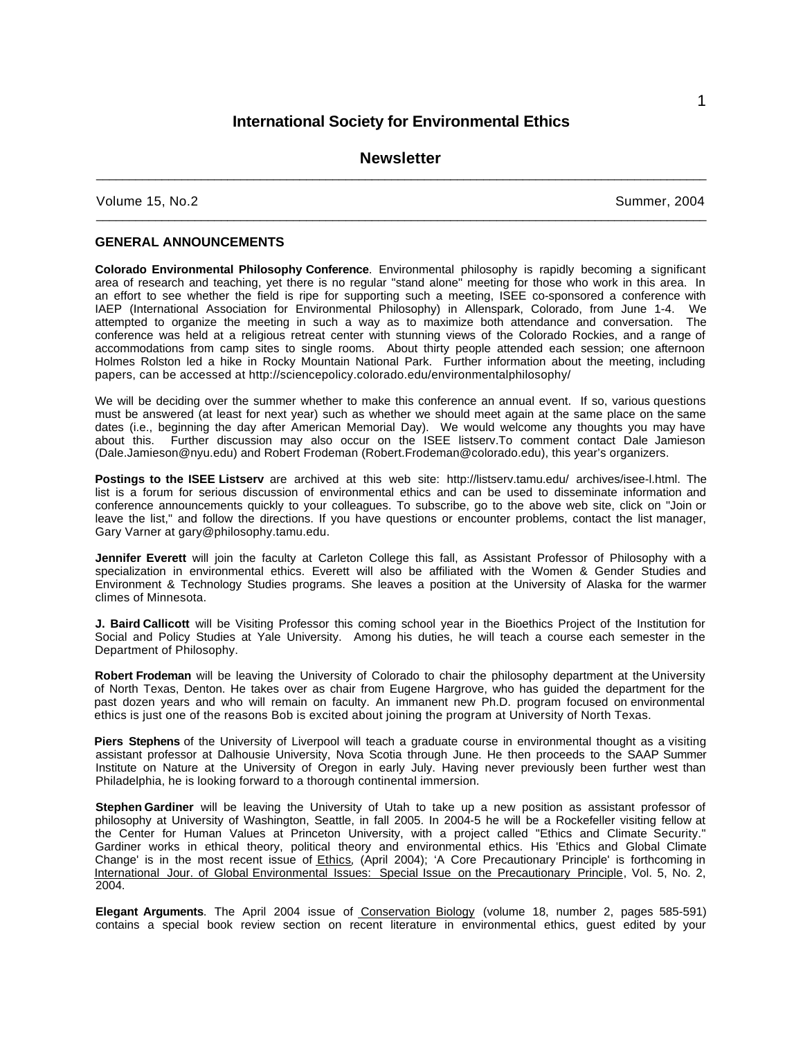# **International Society for Environmental Ethics**

# **Newsletter**  $\bot$  , and the contribution of the contribution of the contribution of the contribution of  $\mathcal{L}_\text{max}$

 $\overline{\phantom{a}}$  , and the set of the set of the set of the set of the set of the set of the set of the set of the set of the set of the set of the set of the set of the set of the set of the set of the set of the set of the s

Volume 15, No.2 Summer, 2004

### **GENERAL ANNOUNCEMENTS**

**Colorado Environmental Philosophy Conference**. Environmental philosophy is rapidly becoming a significant area of research and teaching, yet there is no regular "stand alone" meeting for those who work in this area. In an effort to see whether the field is ripe for supporting such a meeting, ISEE co-sponsored a conference with IAEP (International Association for Environmental Philosophy) in Allenspark, Colorado, from June 1-4. We attempted to organize the meeting in such a way as to maximize both attendance and conversation. The conference was held at a religious retreat center with stunning views of the Colorado Rockies, and a range of accommodations from camp sites to single rooms. About thirty people attended each session; one afternoon Holmes Rolston led a hike in Rocky Mountain National Park. Further information about the meeting, including papers, can be accessed at http://sciencepolicy.colorado.edu/environmentalphilosophy/

We will be deciding over the summer whether to make this conference an annual event. If so, various questions must be answered (at least for next year) such as whether we should meet again at the same place on the same dates (i.e., beginning the day after American Memorial Day). We would welcome any thoughts you may have about this. Further discussion may also occur on the ISEE listserv.To comment contact Dale Jamieson (Dale.Jamieson@nyu.edu) and Robert Frodeman (Robert.Frodeman@colorado.edu), this year's organizers.

**Postings to the ISEE Listserv** are archived at this web site: http://listserv.tamu.edu/ archives/isee-l.html. The list is a forum for serious discussion of environmental ethics and can be used to disseminate information and conference announcements quickly to your colleagues. To subscribe, go to the above web site, click on "Join or leave the list," and follow the directions. If you have questions or encounter problems, contact the list manager, Gary Varner at gary@philosophy.tamu.edu.

**Jennifer Everett** will join the faculty at Carleton College this fall, as Assistant Professor of Philosophy with a specialization in environmental ethics. Everett will also be affiliated with the Women & Gender Studies and Environment & Technology Studies programs. She leaves a position at the University of Alaska for the warmer climes of Minnesota.

**J. Baird Callicott** will be Visiting Professor this coming school year in the Bioethics Project of the Institution for Social and Policy Studies at Yale University. Among his duties, he will teach a course each semester in the Department of Philosophy.

**Robert Frodeman** will be leaving the University of Colorado to chair the philosophy department at the University of North Texas, Denton. He takes over as chair from Eugene Hargrove, who has guided the department for the past dozen years and who will remain on faculty. An immanent new Ph.D. program focused on environmental ethics is just one of the reasons Bob is excited about joining the program at University of North Texas.

**Piers Stephens** of the University of Liverpool will teach a graduate course in environmental thought as a visiting assistant professor at Dalhousie University, Nova Scotia through June. He then proceeds to the SAAP Summer Institute on Nature at the University of Oregon in early July. Having never previously been further west than Philadelphia, he is looking forward to a thorough continental immersion.

**Stephen Gardiner** will be leaving the University of Utah to take up a new position as assistant professor of philosophy at University of Washington, Seattle, in fall 2005. In 2004-5 he will be a Rockefeller visiting fellow at the Center for Human Values at Princeton University, with a project called "Ethics and Climate Security." Gardiner works in ethical theory, political theory and environmental ethics. His 'Ethics and Global Climate Change' is in the most recent issue of Ethics, (April 2004); 'A Core Precautionary Principle' is forthcoming in International Jour. of Global Environmental Issues: Special Issue on the Precautionary Principle, Vol. 5, No. 2, 2004.

**Elegant Arguments**. The April 2004 issue of Conservation Biology (volume 18, number 2, pages 585-591) contains a special book review section on recent literature in environmental ethics, guest edited by your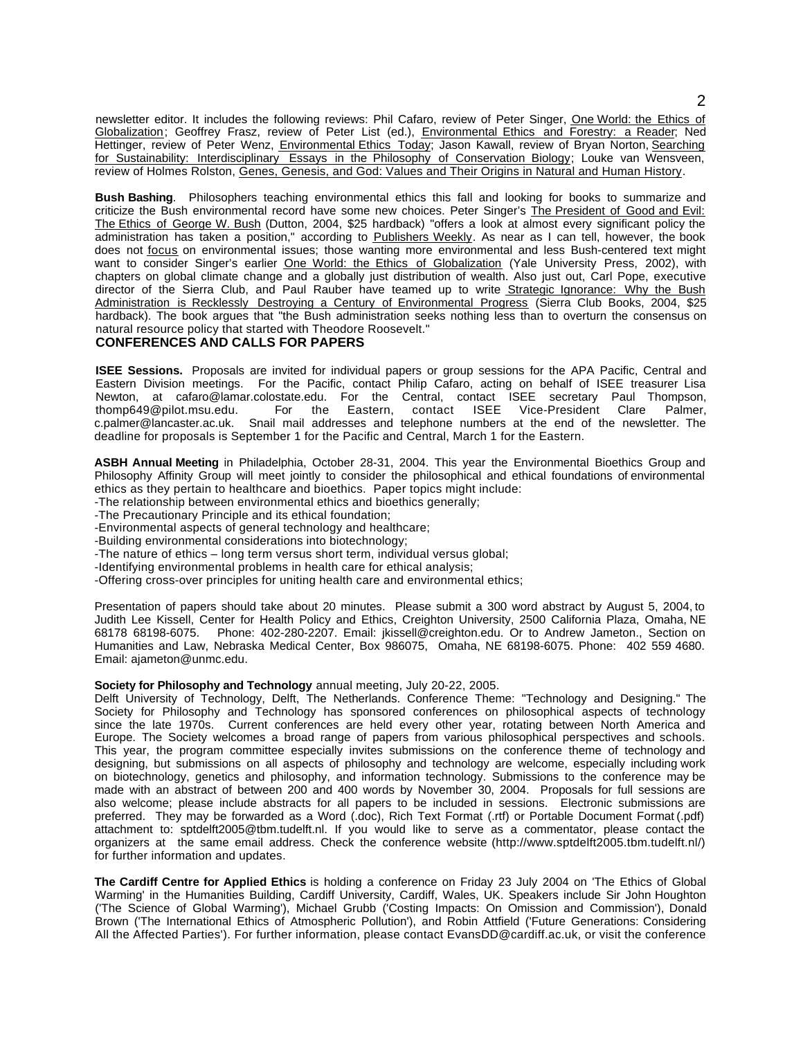newsletter editor. It includes the following reviews: Phil Cafaro, review of Peter Singer, One World: the Ethics of Globalization; Geoffrey Frasz, review of Peter List (ed.), Environmental Ethics and Forestry: a Reader; Ned Hettinger, review of Peter Wenz, Environmental Ethics Today; Jason Kawall, review of Bryan Norton, Searching for Sustainability: Interdisciplinary Essays in the Philosophy of Conservation Biology; Louke van Wensveen, review of Holmes Rolston, Genes, Genesis, and God: Values and Their Origins in Natural and Human History.

**Bush Bashing**. Philosophers teaching environmental ethics this fall and looking for books to summarize and criticize the Bush environmental record have some new choices. Peter Singer's The President of Good and Evil: The Ethics of George W. Bush (Dutton, 2004, \$25 hardback) "offers a look at almost every significant policy the administration has taken a position," according to Publishers Weekly. As near as I can tell, however, the book does not focus on environmental issues; those wanting more environmental and less Bush-centered text might want to consider Singer's earlier One World: the Ethics of Globalization (Yale University Press, 2002), with chapters on global climate change and a globally just distribution of wealth. Also just out, Carl Pope, executive director of the Sierra Club, and Paul Rauber have teamed up to write Strategic Ignorance: Why the Bush Administration is Recklessly Destroying a Century of Environmental Progress (Sierra Club Books, 2004, \$25 hardback). The book argues that "the Bush administration seeks nothing less than to overturn the consensus on natural resource policy that started with Theodore Roosevelt."

### **CONFERENCES AND CALLS FOR PAPERS**

**ISEE Sessions.** Proposals are invited for individual papers or group sessions for the APA Pacific, Central and Eastern Division meetings. For the Pacific, contact Philip Cafaro, acting on behalf of ISEE treasurer Lisa Newton, at cafaro@lamar.colostate.edu. For the Central, contact ISEE secretary Paul Thompson, thomp649@pilot.msu.edu. For the Eastern, contact ISEE Vice-President Clare Palmer, thomp649@pilot.msu.edu. c.palmer@lancaster.ac.uk. Snail mail addresses and telephone numbers at the end of the newsletter. The deadline for proposals is September 1 for the Pacific and Central, March 1 for the Eastern.

**ASBH Annual Meeting** in Philadelphia, October 28-31, 2004. This year the Environmental Bioethics Group and Philosophy Affinity Group will meet jointly to consider the philosophical and ethical foundations of environmental ethics as they pertain to healthcare and bioethics. Paper topics might include:

-The relationship between environmental ethics and bioethics generally;

-The Precautionary Principle and its ethical foundation;

-Environmental aspects of general technology and healthcare;

-Building environmental considerations into biotechnology;

-The nature of ethics – long term versus short term, individual versus global;

-Identifying environmental problems in health care for ethical analysis;

-Offering cross-over principles for uniting health care and environmental ethics;

Presentation of papers should take about 20 minutes. Please submit a 300 word abstract by August 5, 2004, to Judith Lee Kissell, Center for Health Policy and Ethics, Creighton University, 2500 California Plaza, Omaha, NE Fhone: 402-280-2207. Email: jkissell@creighton.edu. Or to Andrew Jameton., Section on Humanities and Law, Nebraska Medical Center, Box 986075, Omaha, NE 68198-6075. Phone: 402 559 4680. Email: ajameton@unmc.edu.

#### **Society for Philosophy and Technology** annual meeting, July 20-22, 2005.

Delft University of Technology, Delft, The Netherlands. Conference Theme: "Technology and Designing." The Society for Philosophy and Technology has sponsored conferences on philosophical aspects of technology since the late 1970s. Current conferences are held every other year, rotating between North America and Europe. The Society welcomes a broad range of papers from various philosophical perspectives and schools. This year, the program committee especially invites submissions on the conference theme of technology and designing, but submissions on all aspects of philosophy and technology are welcome, especially including work on biotechnology, genetics and philosophy, and information technology. Submissions to the conference may be made with an abstract of between 200 and 400 words by November 30, 2004. Proposals for full sessions are also welcome; please include abstracts for all papers to be included in sessions. Electronic submissions are preferred. They may be forwarded as a Word (.doc), Rich Text Format (.rtf) or Portable Document Format (.pdf) attachment to: sptdelft2005@tbm.tudelft.nl. If you would like to serve as a commentator, please contact the organizers at the same email address. Check the conference website (http://www.sptdelft2005.tbm.tudelft.nl/) for further information and updates.

**The Cardiff Centre for Applied Ethics** is holding a conference on Friday 23 July 2004 on 'The Ethics of Global Warming' in the Humanities Building, Cardiff University, Cardiff, Wales, UK. Speakers include Sir John Houghton ('The Science of Global Warming'), Michael Grubb ('Costing Impacts: On Omission and Commission'), Donald Brown ('The International Ethics of Atmospheric Pollution'), and Robin Attfield ('Future Generations: Considering All the Affected Parties'). For further information, please contact EvansDD@cardiff.ac.uk, or visit the conference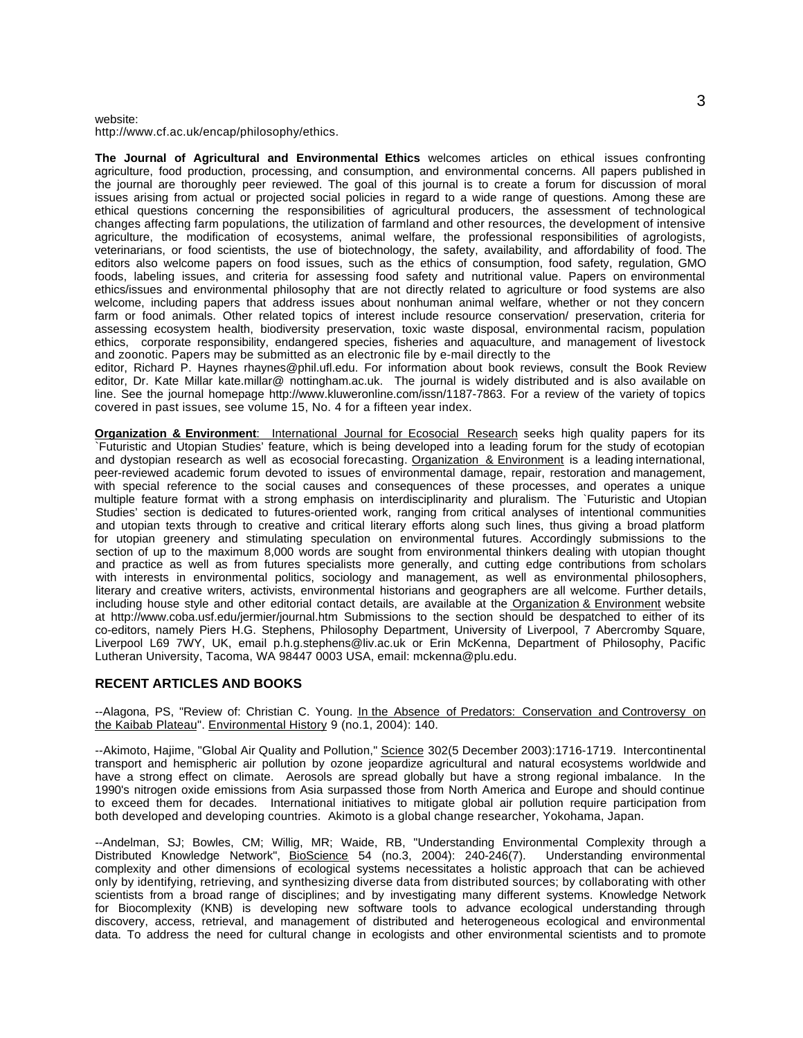#### website:

http://www.cf.ac.uk/encap/philosophy/ethics.

**The Journal of Agricultural and Environmental Ethics** welcomes articles on ethical issues confronting agriculture, food production, processing, and consumption, and environmental concerns. All papers published in the journal are thoroughly peer reviewed. The goal of this journal is to create a forum for discussion of moral issues arising from actual or projected social policies in regard to a wide range of questions. Among these are ethical questions concerning the responsibilities of agricultural producers, the assessment of technological changes affecting farm populations, the utilization of farmland and other resources, the development of intensive agriculture, the modification of ecosystems, animal welfare, the professional responsibilities of agrologists, veterinarians, or food scientists, the use of biotechnology, the safety, availability, and affordability of food. The editors also welcome papers on food issues, such as the ethics of consumption, food safety, regulation, GMO foods, labeling issues, and criteria for assessing food safety and nutritional value. Papers on environmental ethics/issues and environmental philosophy that are not directly related to agriculture or food systems are also welcome, including papers that address issues about nonhuman animal welfare, whether or not they concern farm or food animals. Other related topics of interest include resource conservation/ preservation, criteria for assessing ecosystem health, biodiversity preservation, toxic waste disposal, environmental racism, population ethics, corporate responsibility, endangered species, fisheries and aquaculture, and management of livestock and zoonotic. Papers may be submitted as an electronic file by e-mail directly to the

editor, Richard P. Haynes rhaynes@phil.ufl.edu. For information about book reviews, consult the Book Review editor, Dr. Kate Millar kate.millar@ nottingham.ac.uk. The journal is widely distributed and is also available on line. See the journal homepage http://www.kluweronline.com/issn/1187-7863. For a review of the variety of topics covered in past issues, see volume 15, No. 4 for a fifteen year index.

**Organization & Environment**: International Journal for Ecosocial Research seeks high quality papers for its `Futuristic and Utopian Studies' feature, which is being developed into a leading forum for the study of ecotopian and dystopian research as well as ecosocial forecasting. Organization & Environment is a leading international, peer-reviewed academic forum devoted to issues of environmental damage, repair, restoration and management, with special reference to the social causes and consequences of these processes, and operates a unique multiple feature format with a strong emphasis on interdisciplinarity and pluralism. The `Futuristic and Utopian Studies' section is dedicated to futures-oriented work, ranging from critical analyses of intentional communities and utopian texts through to creative and critical literary efforts along such lines, thus giving a broad platform for utopian greenery and stimulating speculation on environmental futures. Accordingly submissions to the section of up to the maximum 8,000 words are sought from environmental thinkers dealing with utopian thought and practice as well as from futures specialists more generally, and cutting edge contributions from scholars with interests in environmental politics, sociology and management, as well as environmental philosophers, literary and creative writers, activists, environmental historians and geographers are all welcome. Further details, including house style and other editorial contact details, are available at the Organization & Environment website at http://www.coba.usf.edu/jermier/journal.htm Submissions to the section should be despatched to either of its co-editors, namely Piers H.G. Stephens, Philosophy Department, University of Liverpool, 7 Abercromby Square, Liverpool L69 7WY, UK, email p.h.g.stephens@liv.ac.uk or Erin McKenna, Department of Philosophy, Pacific Lutheran University, Tacoma, WA 98447 0003 USA, email: mckenna@plu.edu.

#### **RECENT ARTICLES AND BOOKS**

--Alagona, PS, "Review of: Christian C. Young. In the Absence of Predators: Conservation and Controversy on the Kaibab Plateau". Environmental History 9 (no.1, 2004): 140.

--Akimoto, Hajime, "Global Air Quality and Pollution," Science 302(5 December 2003):1716-1719. Intercontinental transport and hemispheric air pollution by ozone jeopardize agricultural and natural ecosystems worldwide and have a strong effect on climate. Aerosols are spread globally but have a strong regional imbalance. In the 1990's nitrogen oxide emissions from Asia surpassed those from North America and Europe and should continue to exceed them for decades. International initiatives to mitigate global air pollution require participation from both developed and developing countries. Akimoto is a global change researcher, Yokohama, Japan.

--Andelman, SJ; Bowles, CM; Willig, MR; Waide, RB, "Understanding Environmental Complexity through a Distributed Knowledge Network", BioScience 54 (no.3, 2004): 240-246(7). Understanding environmental complexity and other dimensions of ecological systems necessitates a holistic approach that can be achieved only by identifying, retrieving, and synthesizing diverse data from distributed sources; by collaborating with other scientists from a broad range of disciplines; and by investigating many different systems. Knowledge Network for Biocomplexity (KNB) is developing new software tools to advance ecological understanding through discovery, access, retrieval, and management of distributed and heterogeneous ecological and environmental data. To address the need for cultural change in ecologists and other environmental scientists and to promote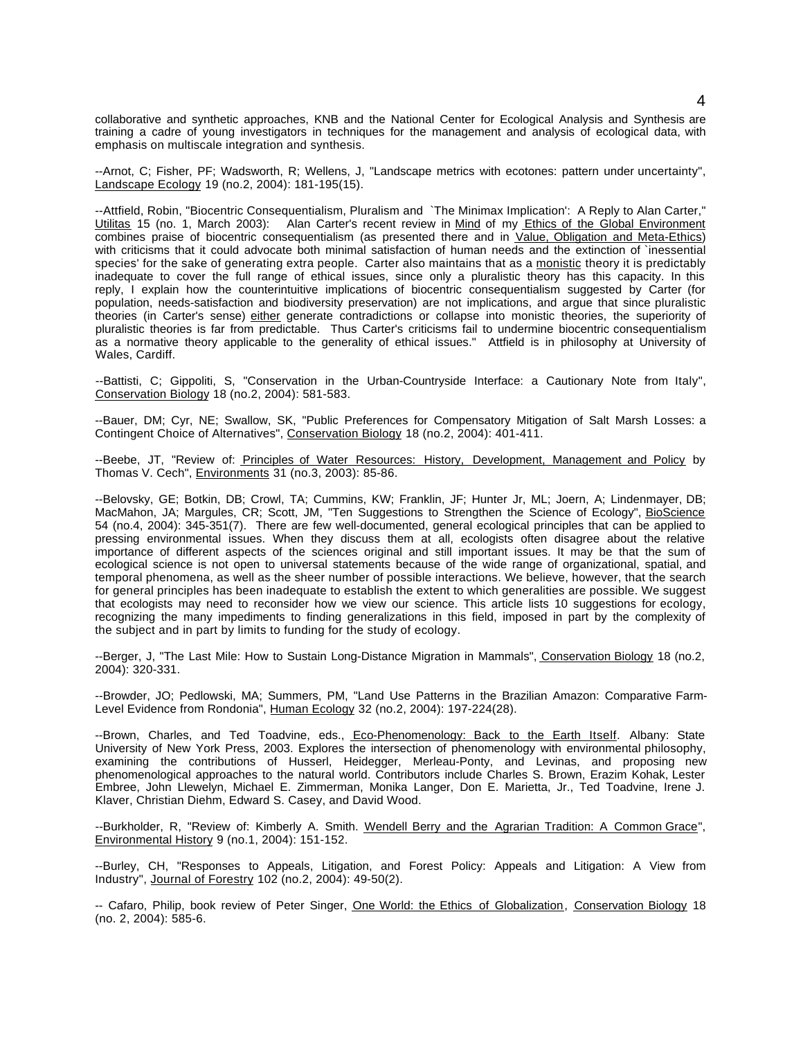collaborative and synthetic approaches, KNB and the National Center for Ecological Analysis and Synthesis are training a cadre of young investigators in techniques for the management and analysis of ecological data, with emphasis on multiscale integration and synthesis.

--Arnot, C; Fisher, PF; Wadsworth, R; Wellens, J, "Landscape metrics with ecotones: pattern under uncertainty", Landscape Ecology 19 (no.2, 2004): 181-195(15).

--Attfield, Robin, "Biocentric Consequentialism, Pluralism and `The Minimax Implication': A Reply to Alan Carter," Alan Carter's recent review in Mind of my Ethics of the Global Environment combines praise of biocentric consequentialism (as presented there and in Value, Obligation and Meta-Ethics) with criticisms that it could advocate both minimal satisfaction of human needs and the extinction of `inessential species' for the sake of generating extra people. Carter also maintains that as a monistic theory it is predictably inadequate to cover the full range of ethical issues, since only a pluralistic theory has this capacity. In this reply, I explain how the counterintuitive implications of biocentric consequentialism suggested by Carter (for population, needs-satisfaction and biodiversity preservation) are not implications, and argue that since pluralistic theories (in Carter's sense) either generate contradictions or collapse into monistic theories, the superiority of pluralistic theories is far from predictable. Thus Carter's criticisms fail to undermine biocentric consequentialism as a normative theory applicable to the generality of ethical issues." Attfield is in philosophy at University of Wales, Cardiff.

--Battisti, C; Gippoliti, S, "Conservation in the Urban-Countryside Interface: a Cautionary Note from Italy", Conservation Biology 18 (no.2, 2004): 581-583.

--Bauer, DM; Cyr, NE; Swallow, SK, "Public Preferences for Compensatory Mitigation of Salt Marsh Losses: a Contingent Choice of Alternatives", Conservation Biology 18 (no.2, 2004): 401-411.

--Beebe, JT, "Review of: Principles of Water Resources: History, Development, Management and Policy by Thomas V. Cech", Environments 31 (no.3, 2003): 85-86.

--Belovsky, GE; Botkin, DB; Crowl, TA; Cummins, KW; Franklin, JF; Hunter Jr, ML; Joern, A; Lindenmayer, DB; MacMahon, JA; Margules, CR; Scott, JM, "Ten Suggestions to Strengthen the Science of Ecology", BioScience 54 (no.4, 2004): 345-351(7). There are few well-documented, general ecological principles that can be applied to pressing environmental issues. When they discuss them at all, ecologists often disagree about the relative importance of different aspects of the sciences original and still important issues. It may be that the sum of ecological science is not open to universal statements because of the wide range of organizational, spatial, and temporal phenomena, as well as the sheer number of possible interactions. We believe, however, that the search for general principles has been inadequate to establish the extent to which generalities are possible. We suggest that ecologists may need to reconsider how we view our science. This article lists 10 suggestions for ecology, recognizing the many impediments to finding generalizations in this field, imposed in part by the complexity of the subject and in part by limits to funding for the study of ecology.

--Berger, J, "The Last Mile: How to Sustain Long-Distance Migration in Mammals", Conservation Biology 18 (no.2, 2004): 320-331.

--Browder, JO; Pedlowski, MA; Summers, PM, "Land Use Patterns in the Brazilian Amazon: Comparative Farm-Level Evidence from Rondonia", Human Ecology 32 (no.2, 2004): 197-224(28).

--Brown, Charles, and Ted Toadvine, eds., Eco-Phenomenology: Back to the Earth Itself. Albany: State University of New York Press, 2003. Explores the intersection of phenomenology with environmental philosophy, examining the contributions of Husserl, Heidegger, Merleau-Ponty, and Levinas, and proposing new phenomenological approaches to the natural world. Contributors include Charles S. Brown, Erazim Kohak, Lester Embree, John Llewelyn, Michael E. Zimmerman, Monika Langer, Don E. Marietta, Jr., Ted Toadvine, Irene J. Klaver, Christian Diehm, Edward S. Casey, and David Wood.

--Burkholder, R, "Review of: Kimberly A. Smith. Wendell Berry and the Agrarian Tradition: A Common Grace", Environmental History 9 (no.1, 2004): 151-152.

--Burley, CH, "Responses to Appeals, Litigation, and Forest Policy: Appeals and Litigation: A View from Industry", Journal of Forestry 102 (no.2, 2004): 49-50(2).

-- Cafaro, Philip, book review of Peter Singer, One World: the Ethics of Globalization, Conservation Biology 18 (no. 2, 2004): 585-6.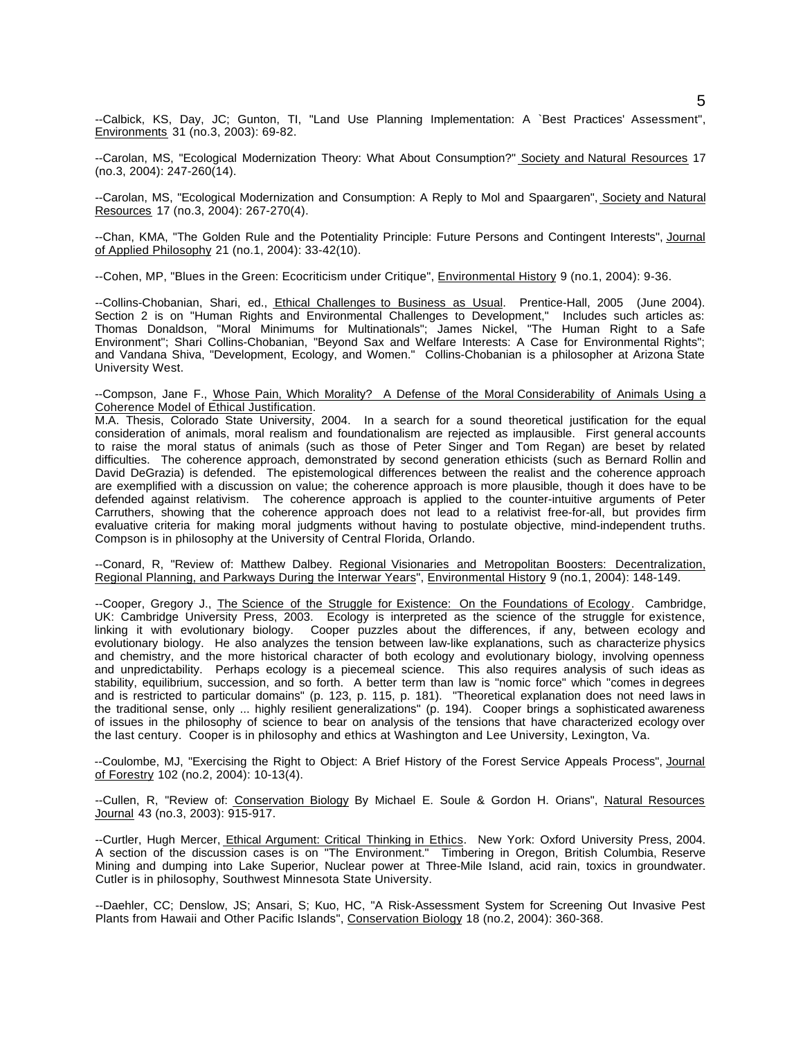--Calbick, KS, Day, JC; Gunton, TI, "Land Use Planning Implementation: A `Best Practices' Assessment", Environments 31 (no.3, 2003): 69-82.

--Carolan, MS, "Ecological Modernization Theory: What About Consumption?" Society and Natural Resources 17 (no.3, 2004): 247-260(14).

--Carolan, MS, "Ecological Modernization and Consumption: A Reply to Mol and Spaargaren", Society and Natural Resources 17 (no.3, 2004): 267-270(4).

--Chan, KMA, "The Golden Rule and the Potentiality Principle: Future Persons and Contingent Interests", Journal of Applied Philosophy 21 (no.1, 2004): 33-42(10).

--Cohen, MP, "Blues in the Green: Ecocriticism under Critique", Environmental History 9 (no.1, 2004): 9-36.

--Collins-Chobanian, Shari, ed., *Ethical Challenges to Business as Usual*. Prentice-Hall, 2005 (June 2004). Section 2 is on "Human Rights and Environmental Challenges to Development," Includes such articles as: Thomas Donaldson, "Moral Minimums for Multinationals"; James Nickel, "The Human Right to a Safe Environment"; Shari Collins-Chobanian, "Beyond Sax and Welfare Interests: A Case for Environmental Rights"; and Vandana Shiva, "Development, Ecology, and Women." Collins-Chobanian is a philosopher at Arizona State University West.

--Compson, Jane F., Whose Pain, Which Morality? A Defense of the Moral Considerability of Animals Using a Coherence Model of Ethical Justification.

M.A. Thesis, Colorado State University, 2004. In a search for a sound theoretical justification for the equal consideration of animals, moral realism and foundationalism are rejected as implausible. First general accounts to raise the moral status of animals (such as those of Peter Singer and Tom Regan) are beset by related difficulties. The coherence approach, demonstrated by second generation ethicists (such as Bernard Rollin and David DeGrazia) is defended. The epistemological differences between the realist and the coherence approach are exemplified with a discussion on value; the coherence approach is more plausible, though it does have to be defended against relativism. The coherence approach is applied to the counter-intuitive arguments of Peter Carruthers, showing that the coherence approach does not lead to a relativist free-for-all, but provides firm evaluative criteria for making moral judgments without having to postulate objective, mind-independent truths. Compson is in philosophy at the University of Central Florida, Orlando.

--Conard, R, "Review of: Matthew Dalbey. Regional Visionaries and Metropolitan Boosters: Decentralization, Regional Planning, and Parkways During the Interwar Years", Environmental History 9 (no.1, 2004): 148-149.

--Cooper, Gregory J., The Science of the Struggle for Existence: On the Foundations of Ecology. Cambridge, UK: Cambridge University Press, 2003. Ecology is interpreted as the science of the struggle for existence, linking it with evolutionary biology. Cooper puzzles about the differences, if any, between ecology and evolutionary biology. He also analyzes the tension between law-like explanations, such as characterize physics and chemistry, and the more historical character of both ecology and evolutionary biology, involving openness and unpredictability. Perhaps ecology is a piecemeal science. This also requires analysis of such ideas as stability, equilibrium, succession, and so forth. A better term than law is "nomic force" which "comes in degrees and is restricted to particular domains" (p. 123, p. 115, p. 181). "Theoretical explanation does not need laws in the traditional sense, only ... highly resilient generalizations" (p. 194). Cooper brings a sophisticated awareness of issues in the philosophy of science to bear on analysis of the tensions that have characterized ecology over the last century. Cooper is in philosophy and ethics at Washington and Lee University, Lexington, Va.

--Coulombe, MJ, "Exercising the Right to Object: A Brief History of the Forest Service Appeals Process", Journal of Forestry 102 (no.2, 2004): 10-13(4).

--Cullen, R, "Review of: Conservation Biology By Michael E. Soule & Gordon H. Orians", Natural Resources Journal 43 (no.3, 2003): 915-917.

--Curtler, Hugh Mercer, *Ethical Argument: Critical Thinking in Ethics*. New York: Oxford University Press, 2004. A section of the discussion cases is on "The Environment." Timbering in Oregon, British Columbia, Reserve Mining and dumping into Lake Superior, Nuclear power at Three-Mile Island, acid rain, toxics in groundwater. Cutler is in philosophy, Southwest Minnesota State University.

--Daehler, CC; Denslow, JS; Ansari, S; Kuo, HC, "A Risk-Assessment System for Screening Out Invasive Pest Plants from Hawaii and Other Pacific Islands", Conservation Biology 18 (no.2, 2004): 360-368.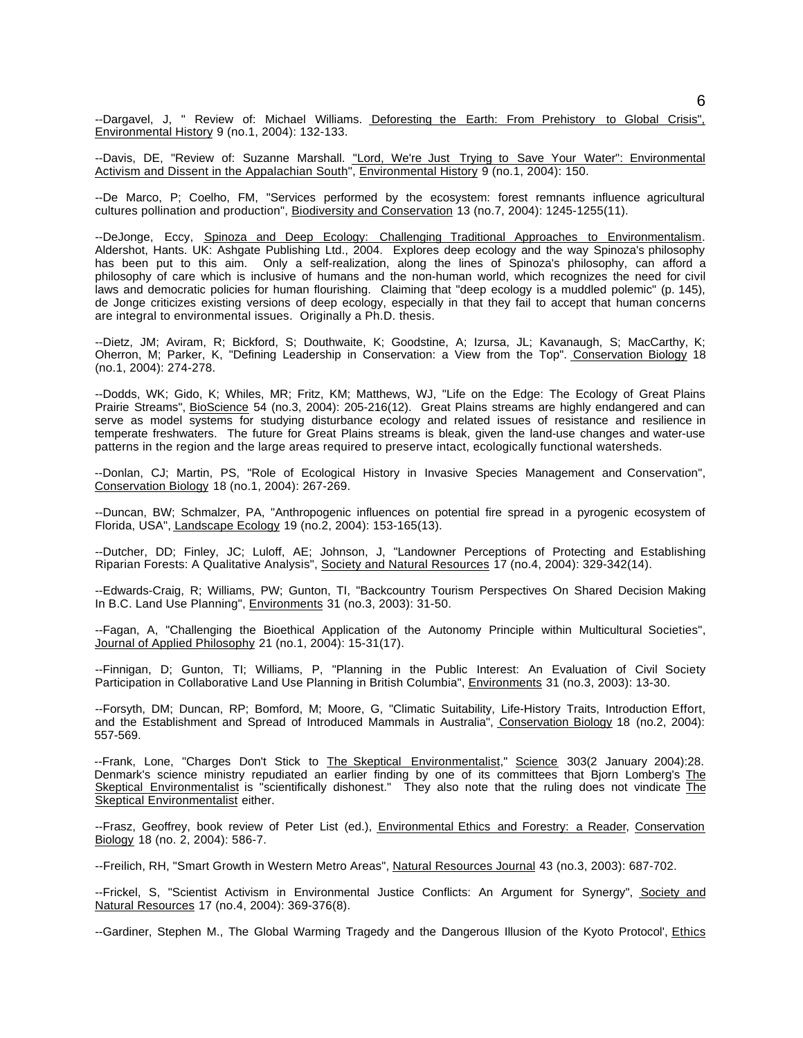--Dargavel, J, " Review of: Michael Williams. Deforesting the Earth: From Prehistory to Global Crisis", Environmental History 9 (no.1, 2004): 132-133.

--Davis, DE, "Review of: Suzanne Marshall. "Lord, We're Just Trying to Save Your Water": Environmental Activism and Dissent in the Appalachian South", Environmental History 9 (no.1, 2004): 150.

--De Marco, P; Coelho, FM, "Services performed by the ecosystem: forest remnants influence agricultural cultures pollination and production", Biodiversity and Conservation 13 (no.7, 2004): 1245-1255(11).

--DeJonge, Eccy, Spinoza and Deep Ecology: Challenging Traditional Approaches to Environmentalism. Aldershot, Hants. UK: Ashgate Publishing Ltd., 2004. Explores deep ecology and the way Spinoza's philosophy has been put to this aim. Only a self-realization, along the lines of Spinoza's philosophy, can afford a philosophy of care which is inclusive of humans and the non-human world, which recognizes the need for civil laws and democratic policies for human flourishing. Claiming that "deep ecology is a muddled polemic" (p. 145), de Jonge criticizes existing versions of deep ecology, especially in that they fail to accept that human concerns are integral to environmental issues. Originally a Ph.D. thesis.

--Dietz, JM; Aviram, R; Bickford, S; Douthwaite, K; Goodstine, A; Izursa, JL; Kavanaugh, S; MacCarthy, K; Oherron, M; Parker, K, "Defining Leadership in Conservation: a View from the Top". Conservation Biology 18 (no.1, 2004): 274-278.

--Dodds, WK; Gido, K; Whiles, MR; Fritz, KM; Matthews, WJ, "Life on the Edge: The Ecology of Great Plains Prairie Streams", BioScience 54 (no.3, 2004): 205-216(12). Great Plains streams are highly endangered and can serve as model systems for studying disturbance ecology and related issues of resistance and resilience in temperate freshwaters. The future for Great Plains streams is bleak, given the land-use changes and water-use patterns in the region and the large areas required to preserve intact, ecologically functional watersheds.

--Donlan, CJ; Martin, PS, "Role of Ecological History in Invasive Species Management and Conservation", Conservation Biology 18 (no.1, 2004): 267-269.

--Duncan, BW; Schmalzer, PA, "Anthropogenic influences on potential fire spread in a pyrogenic ecosystem of Florida, USA", Landscape Ecology 19 (no.2, 2004): 153-165(13).

--Dutcher, DD; Finley, JC; Luloff, AE; Johnson, J, "Landowner Perceptions of Protecting and Establishing Riparian Forests: A Qualitative Analysis", Society and Natural Resources 17 (no.4, 2004): 329-342(14).

--Edwards-Craig, R; Williams, PW; Gunton, TI, "Backcountry Tourism Perspectives On Shared Decision Making In B.C. Land Use Planning", Environments 31 (no.3, 2003): 31-50.

--Fagan, A, "Challenging the Bioethical Application of the Autonomy Principle within Multicultural Societies", Journal of Applied Philosophy 21 (no.1, 2004): 15-31(17).

--Finnigan, D; Gunton, TI; Williams, P, "Planning in the Public Interest: An Evaluation of Civil Society Participation in Collaborative Land Use Planning in British Columbia", Environments 31 (no.3, 2003): 13-30.

--Forsyth, DM; Duncan, RP; Bomford, M; Moore, G, "Climatic Suitability, Life-History Traits, Introduction Effort, and the Establishment and Spread of Introduced Mammals in Australia", Conservation Biology 18 (no.2, 2004): 557-569.

--Frank, Lone, "Charges Don't Stick to The Skeptical Environmentalist," Science 303(2 January 2004):28. Denmark's science ministry repudiated an earlier finding by one of its committees that Bjorn Lomberg's The Skeptical Environmentalist is "scientifically dishonest." They also note that the ruling does not vindicate The Skeptical Environmentalist either.

--Frasz, Geoffrey, book review of Peter List (ed.), Environmental Ethics and Forestry: a Reader, Conservation Biology 18 (no. 2, 2004): 586-7.

--Freilich, RH, "Smart Growth in Western Metro Areas", Natural Resources Journal 43 (no.3, 2003): 687-702.

--Frickel, S, "Scientist Activism in Environmental Justice Conflicts: An Argument for Synergy", Society and Natural Resources 17 (no.4, 2004): 369-376(8).

--Gardiner, Stephen M., The Global Warming Tragedy and the Dangerous Illusion of the Kyoto Protocol', Ethics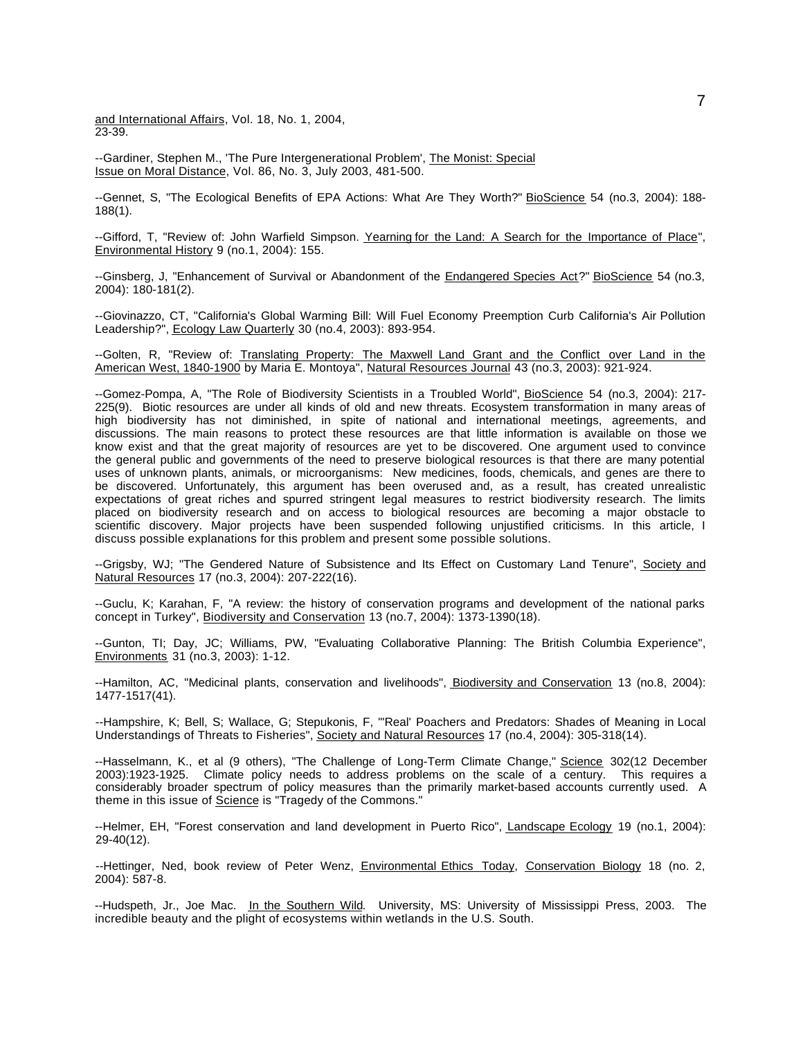and International Affairs, Vol. 18, No. 1, 2004, 23-39.

--Gardiner, Stephen M., 'The Pure Intergenerational Problem', The Monist: Special Issue on Moral Distance, Vol. 86, No. 3, July 2003, 481-500.

--Gennet, S, "The Ecological Benefits of EPA Actions: What Are They Worth?" BioScience 54 (no.3, 2004): 188- 188(1).

--Gifford, T, "Review of: John Warfield Simpson. Yearning for the Land: A Search for the Importance of Place", Environmental History 9 (no.1, 2004): 155.

--Ginsberg, J, "Enhancement of Survival or Abandonment of the Endangered Species Act?" BioScience 54 (no.3, 2004): 180-181(2).

--Giovinazzo, CT, "California's Global Warming Bill: Will Fuel Economy Preemption Curb California's Air Pollution Leadership?", Ecology Law Quarterly 30 (no.4, 2003): 893-954.

--Golten, R, "Review of: Translating Property: The Maxwell Land Grant and the Conflict over Land in the American West, 1840-1900 by Maria E. Montoya", Natural Resources Journal 43 (no.3, 2003): 921-924.

--Gomez-Pompa, A, "The Role of Biodiversity Scientists in a Troubled World", BioScience 54 (no.3, 2004): 217- 225(9). Biotic resources are under all kinds of old and new threats. Ecosystem transformation in many areas of high biodiversity has not diminished, in spite of national and international meetings, agreements, and discussions. The main reasons to protect these resources are that little information is available on those we know exist and that the great majority of resources are yet to be discovered. One argument used to convince the general public and governments of the need to preserve biological resources is that there are many potential uses of unknown plants, animals, or microorganisms: New medicines, foods, chemicals, and genes are there to be discovered. Unfortunately, this argument has been overused and, as a result, has created unrealistic expectations of great riches and spurred stringent legal measures to restrict biodiversity research. The limits placed on biodiversity research and on access to biological resources are becoming a major obstacle to scientific discovery. Major projects have been suspended following unjustified criticisms. In this article, I discuss possible explanations for this problem and present some possible solutions.

--Grigsby, WJ; "The Gendered Nature of Subsistence and Its Effect on Customary Land Tenure", Society and Natural Resources 17 (no.3, 2004): 207-222(16).

--Guclu, K; Karahan, F, "A review: the history of conservation programs and development of the national parks concept in Turkey", Biodiversity and Conservation 13 (no.7, 2004): 1373-1390(18).

--Gunton, TI; Day, JC; Williams, PW, "Evaluating Collaborative Planning: The British Columbia Experience", Environments 31 (no.3, 2003): 1-12.

--Hamilton, AC, "Medicinal plants, conservation and livelihoods", Biodiversity and Conservation 13 (no.8, 2004): 1477-1517(41).

--Hampshire, K; Bell, S; Wallace, G; Stepukonis, F, "'Real' Poachers and Predators: Shades of Meaning in Local Understandings of Threats to Fisheries", Society and Natural Resources 17 (no.4, 2004): 305-318(14).

--Hasselmann, K., et al (9 others), "The Challenge of Long-Term Climate Change," Science 302(12 December 2003):1923-1925. Climate policy needs to address problems on the scale of a century. This requires a considerably broader spectrum of policy measures than the primarily market-based accounts currently used. A theme in this issue of Science is "Tragedy of the Commons."

--Helmer, EH, "Forest conservation and land development in Puerto Rico", Landscape Ecology 19 (no.1, 2004): 29-40(12).

--Hettinger, Ned, book review of Peter Wenz, Environmental Ethics Today, Conservation Biology 18 (no. 2, 2004): 587-8.

--Hudspeth, Jr., Joe Mac. In the Southern Wild. University, MS: University of Mississippi Press, 2003. The incredible beauty and the plight of ecosystems within wetlands in the U.S. South.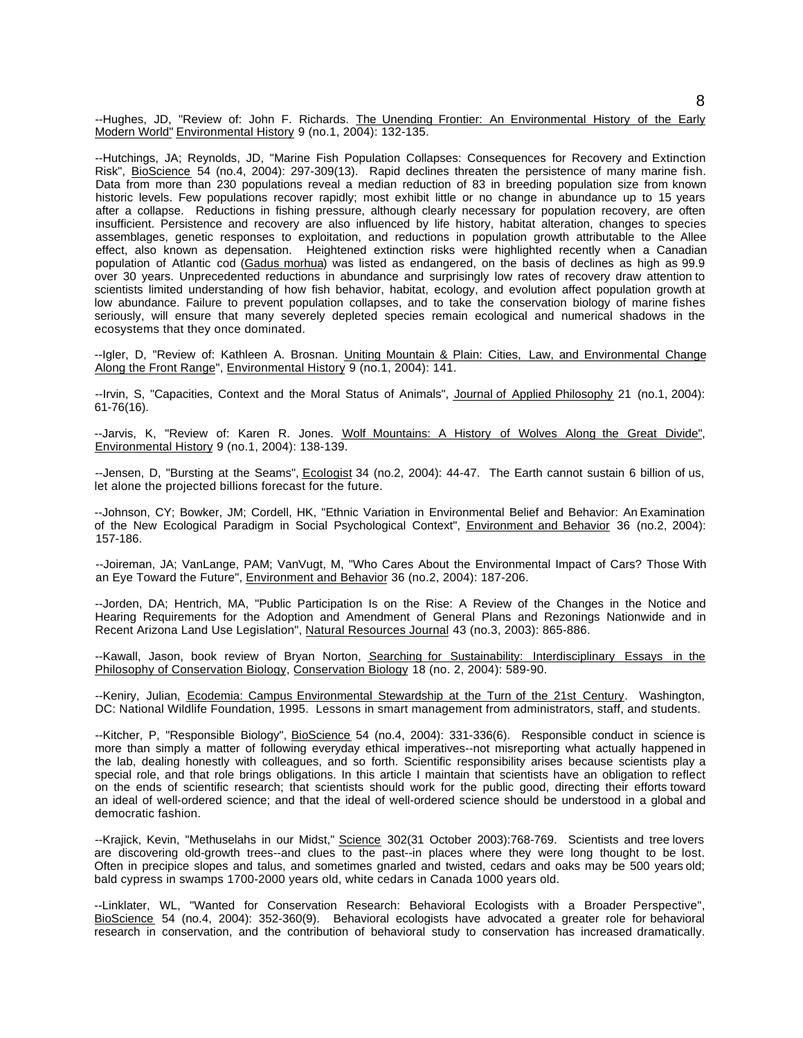--Hughes, JD, "Review of: John F. Richards. The Unending Frontier: An Environmental History of the Early Modern World" Environmental History 9 (no.1, 2004): 132-135.

--Hutchings, JA; Reynolds, JD, "Marine Fish Population Collapses: Consequences for Recovery and Extinction Risk", BioScience 54 (no.4, 2004): 297-309(13). Rapid declines threaten the persistence of many marine fish. Data from more than 230 populations reveal a median reduction of 83 in breeding population size from known historic levels. Few populations recover rapidly; most exhibit little or no change in abundance up to 15 years after a collapse. Reductions in fishing pressure, although clearly necessary for population recovery, are often insufficient. Persistence and recovery are also influenced by life history, habitat alteration, changes to species assemblages, genetic responses to exploitation, and reductions in population growth attributable to the Allee effect, also known as depensation. Heightened extinction risks were highlighted recently when a Canadian population of Atlantic cod (Gadus morhua) was listed as endangered, on the basis of declines as high as 99.9 over 30 years. Unprecedented reductions in abundance and surprisingly low rates of recovery draw attention to scientists limited understanding of how fish behavior, habitat, ecology, and evolution affect population growth at low abundance. Failure to prevent population collapses, and to take the conservation biology of marine fishes seriously, will ensure that many severely depleted species remain ecological and numerical shadows in the ecosystems that they once dominated.

--Igler, D, "Review of: Kathleen A. Brosnan. Uniting Mountain & Plain: Cities, Law, and Environmental Change Along the Front Range", Environmental History 9 (no.1, 2004): 141.

--Irvin, S, "Capacities, Context and the Moral Status of Animals", Journal of Applied Philosophy 21 (no.1, 2004): 61-76(16).

--Jarvis, K, "Review of: Karen R. Jones. Wolf Mountains: A History of Wolves Along the Great Divide", Environmental History 9 (no.1, 2004): 138-139.

--Jensen, D, "Bursting at the Seams", Ecologist 34 (no.2, 2004): 44-47. The Earth cannot sustain 6 billion of us, let alone the projected billions forecast for the future.

--Johnson, CY; Bowker, JM; Cordell, HK, "Ethnic Variation in Environmental Belief and Behavior: An Examination of the New Ecological Paradigm in Social Psychological Context", Environment and Behavior 36 (no.2, 2004): 157-186.

--Joireman, JA; VanLange, PAM; VanVugt, M, "Who Cares About the Environmental Impact of Cars? Those With an Eye Toward the Future", Environment and Behavior 36 (no.2, 2004): 187-206.

--Jorden, DA; Hentrich, MA, "Public Participation Is on the Rise: A Review of the Changes in the Notice and Hearing Requirements for the Adoption and Amendment of General Plans and Rezonings Nationwide and in Recent Arizona Land Use Legislation", Natural Resources Journal 43 (no.3, 2003): 865-886.

--Kawall, Jason, book review of Bryan Norton, Searching for Sustainability: Interdisciplinary Essays in the Philosophy of Conservation Biology, Conservation Biology 18 (no. 2, 2004): 589-90.

--Keniry, Julian, Ecodemia: Campus Environmental Stewardship at the Turn of the 21st Century. Washington, DC: National Wildlife Foundation, 1995. Lessons in smart management from administrators, staff, and students.

--Kitcher, P, "Responsible Biology", BioScience 54 (no.4, 2004): 331-336(6). Responsible conduct in science is more than simply a matter of following everyday ethical imperatives--not misreporting what actually happened in the lab, dealing honestly with colleagues, and so forth. Scientific responsibility arises because scientists play a special role, and that role brings obligations. In this article I maintain that scientists have an obligation to reflect on the ends of scientific research; that scientists should work for the public good, directing their efforts toward an ideal of well-ordered science; and that the ideal of well-ordered science should be understood in a global and democratic fashion.

--Krajick, Kevin, "Methuselahs in our Midst," Science 302(31 October 2003):768-769. Scientists and tree lovers are discovering old-growth trees--and clues to the past--in places where they were long thought to be lost. Often in precipice slopes and talus, and sometimes gnarled and twisted, cedars and oaks may be 500 years old; bald cypress in swamps 1700-2000 years old, white cedars in Canada 1000 years old.

--Linklater, WL, "Wanted for Conservation Research: Behavioral Ecologists with a Broader Perspective", BioScience 54 (no.4, 2004): 352-360(9). Behavioral ecologists have advocated a greater role for behavioral research in conservation, and the contribution of behavioral study to conservation has increased dramatically.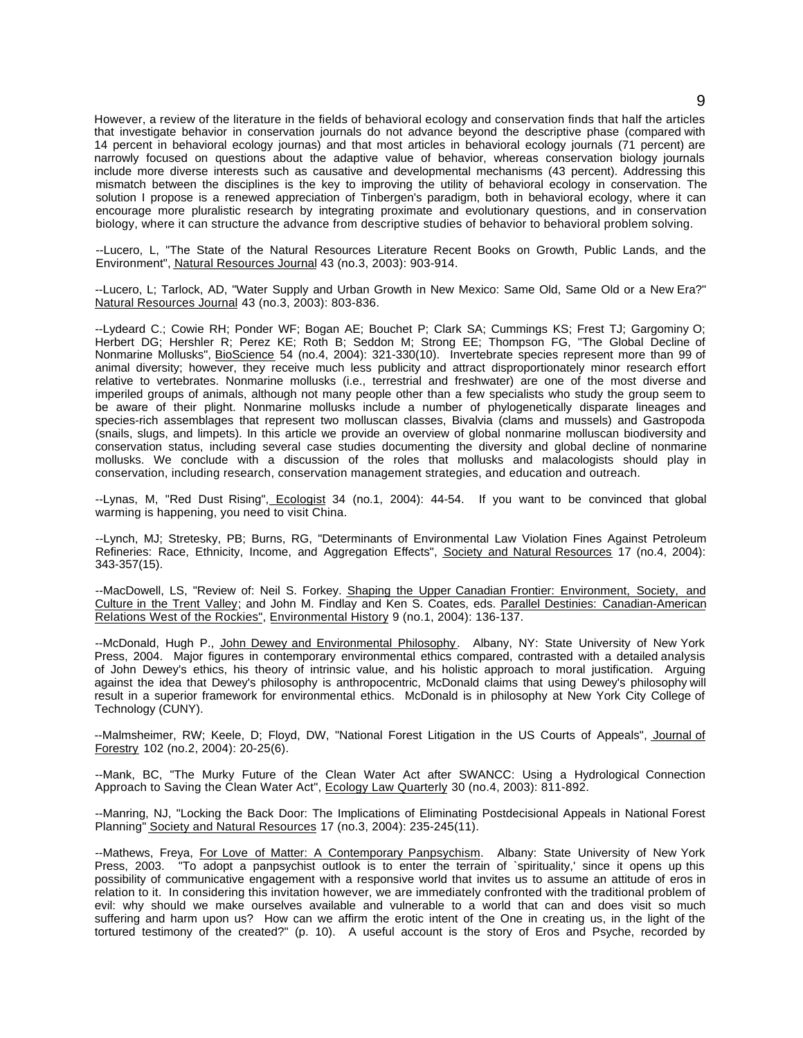However, a review of the literature in the fields of behavioral ecology and conservation finds that half the articles that investigate behavior in conservation journals do not advance beyond the descriptive phase (compared with 14 percent in behavioral ecology journas) and that most articles in behavioral ecology journals (71 percent) are narrowly focused on questions about the adaptive value of behavior, whereas conservation biology journals include more diverse interests such as causative and developmental mechanisms (43 percent). Addressing this mismatch between the disciplines is the key to improving the utility of behavioral ecology in conservation. The solution I propose is a renewed appreciation of Tinbergen's paradigm, both in behavioral ecology, where it can encourage more pluralistic research by integrating proximate and evolutionary questions, and in conservation biology, where it can structure the advance from descriptive studies of behavior to behavioral problem solving.

--Lucero, L, "The State of the Natural Resources Literature Recent Books on Growth, Public Lands, and the Environment", Natural Resources Journal 43 (no.3, 2003): 903-914.

--Lucero, L; Tarlock, AD, "Water Supply and Urban Growth in New Mexico: Same Old, Same Old or a New Era?" Natural Resources Journal 43 (no.3, 2003): 803-836.

--Lydeard C.; Cowie RH; Ponder WF; Bogan AE; Bouchet P; Clark SA; Cummings KS; Frest TJ; Gargominy O; Herbert DG; Hershler R; Perez KE; Roth B; Seddon M; Strong EE; Thompson FG, "The Global Decline of Nonmarine Mollusks", BioScience 54 (no.4, 2004): 321-330(10). Invertebrate species represent more than 99 of animal diversity; however, they receive much less publicity and attract disproportionately minor research effort relative to vertebrates. Nonmarine mollusks (i.e., terrestrial and freshwater) are one of the most diverse and imperiled groups of animals, although not many people other than a few specialists who study the group seem to be aware of their plight. Nonmarine mollusks include a number of phylogenetically disparate lineages and species-rich assemblages that represent two molluscan classes, Bivalvia (clams and mussels) and Gastropoda (snails, slugs, and limpets). In this article we provide an overview of global nonmarine molluscan biodiversity and conservation status, including several case studies documenting the diversity and global decline of nonmarine mollusks. We conclude with a discussion of the roles that mollusks and malacologists should play in conservation, including research, conservation management strategies, and education and outreach.

--Lynas, M, "Red Dust Rising", Ecologist 34 (no.1, 2004): 44-54. If you want to be convinced that global warming is happening, you need to visit China.

--Lynch, MJ; Stretesky, PB; Burns, RG, "Determinants of Environmental Law Violation Fines Against Petroleum Refineries: Race, Ethnicity, Income, and Aggregation Effects", Society and Natural Resources 17 (no.4, 2004): 343-357(15).

--MacDowell, LS, "Review of: Neil S. Forkey. Shaping the Upper Canadian Frontier: Environment, Society, and Culture in the Trent Valley; and John M. Findlay and Ken S. Coates, eds. Parallel Destinies: Canadian-American Relations West of the Rockies", Environmental History 9 (no.1, 2004): 136-137.

--McDonald, Hugh P., John Dewey and Environmental Philosophy. Albany, NY: State University of New York Press, 2004. Major figures in contemporary environmental ethics compared, contrasted with a detailed analysis of John Dewey's ethics, his theory of intrinsic value, and his holistic approach to moral justification. Arguing against the idea that Dewey's philosophy is anthropocentric, McDonald claims that using Dewey's philosophy will result in a superior framework for environmental ethics. McDonald is in philosophy at New York City College of Technology (CUNY).

--Malmsheimer, RW; Keele, D; Floyd, DW, "National Forest Litigation in the US Courts of Appeals", Journal of Forestry 102 (no.2, 2004): 20-25(6).

--Mank, BC, "The Murky Future of the Clean Water Act after SWANCC: Using a Hydrological Connection Approach to Saving the Clean Water Act", Ecology Law Quarterly 30 (no.4, 2003): 811-892.

--Manring, NJ, "Locking the Back Door: The Implications of Eliminating Postdecisional Appeals in National Forest Planning" Society and Natural Resources 17 (no.3, 2004): 235-245(11).

--Mathews, Freya, For Love of Matter: A Contemporary Panpsychism. Albany: State University of New York Press, 2003. "To adopt a panpsychist outlook is to enter the terrain of `spirituality,' since it opens up this possibility of communicative engagement with a responsive world that invites us to assume an attitude of eros in relation to it. In considering this invitation however, we are immediately confronted with the traditional problem of evil: why should we make ourselves available and vulnerable to a world that can and does visit so much suffering and harm upon us? How can we affirm the erotic intent of the One in creating us, in the light of the tortured testimony of the created?" (p. 10). A useful account is the story of Eros and Psyche, recorded by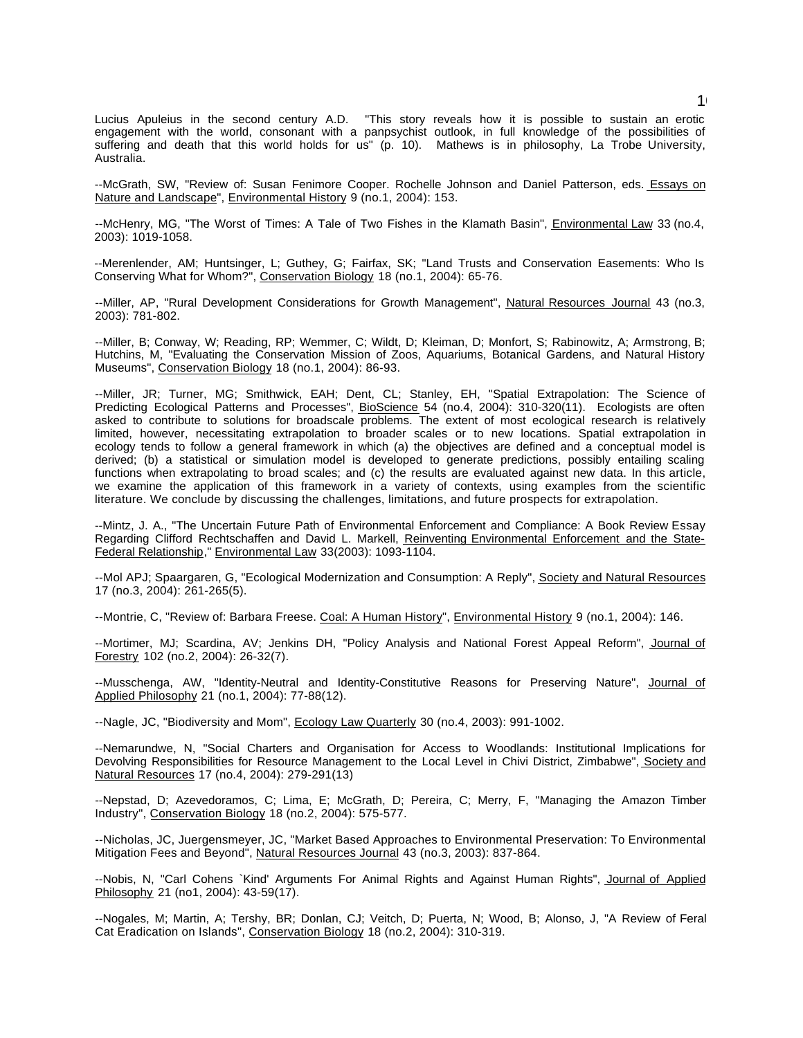Lucius Apuleius in the second century A.D. "This story reveals how it is possible to sustain an erotic engagement with the world, consonant with a panpsychist outlook, in full knowledge of the possibilities of suffering and death that this world holds for us" (p. 10). Mathews is in philosophy, La Trobe University, Australia.

--McGrath, SW, "Review of: Susan Fenimore Cooper. Rochelle Johnson and Daniel Patterson, eds. Essays on Nature and Landscape", Environmental History 9 (no.1, 2004): 153.

--McHenry, MG, "The Worst of Times: A Tale of Two Fishes in the Klamath Basin", Environmental Law 33 (no.4, 2003): 1019-1058.

--Merenlender, AM; Huntsinger, L; Guthey, G; Fairfax, SK; "Land Trusts and Conservation Easements: Who Is Conserving What for Whom?", Conservation Biology 18 (no.1, 2004): 65-76.

--Miller, AP, "Rural Development Considerations for Growth Management", Natural Resources Journal 43 (no.3, 2003): 781-802.

--Miller, B; Conway, W; Reading, RP; Wemmer, C; Wildt, D; Kleiman, D; Monfort, S; Rabinowitz, A; Armstrong, B; Hutchins, M, "Evaluating the Conservation Mission of Zoos, Aquariums, Botanical Gardens, and Natural History Museums", Conservation Biology 18 (no.1, 2004): 86-93.

--Miller, JR; Turner, MG; Smithwick, EAH; Dent, CL; Stanley, EH, "Spatial Extrapolation: The Science of Predicting Ecological Patterns and Processes", BioScience 54 (no.4, 2004): 310-320(11). Ecologists are often asked to contribute to solutions for broadscale problems. The extent of most ecological research is relatively limited, however, necessitating extrapolation to broader scales or to new locations. Spatial extrapolation in ecology tends to follow a general framework in which (a) the objectives are defined and a conceptual model is derived; (b) a statistical or simulation model is developed to generate predictions, possibly entailing scaling functions when extrapolating to broad scales; and (c) the results are evaluated against new data. In this article, we examine the application of this framework in a variety of contexts, using examples from the scientific literature. We conclude by discussing the challenges, limitations, and future prospects for extrapolation.

--Mintz, J. A., "The Uncertain Future Path of Environmental Enforcement and Compliance: A Book Review Essay Regarding Clifford Rechtschaffen and David L. Markell, Reinventing Environmental Enforcement and the State-Federal Relationship," Environmental Law 33(2003): 1093-1104.

--Mol APJ; Spaargaren, G, "Ecological Modernization and Consumption: A Reply", Society and Natural Resources 17 (no.3, 2004): 261-265(5).

--Montrie, C, "Review of: Barbara Freese. Coal: A Human History", Environmental History 9 (no.1, 2004): 146.

--Mortimer, MJ; Scardina, AV; Jenkins DH, "Policy Analysis and National Forest Appeal Reform", Journal of Forestry 102 (no.2, 2004): 26-32(7).

--Musschenga, AW, "Identity-Neutral and Identity-Constitutive Reasons for Preserving Nature", Journal of Applied Philosophy 21 (no.1, 2004): 77-88(12).

--Nagle, JC, "Biodiversity and Mom", Ecology Law Quarterly 30 (no.4, 2003): 991-1002.

--Nemarundwe, N, "Social Charters and Organisation for Access to Woodlands: Institutional Implications for Devolving Responsibilities for Resource Management to the Local Level in Chivi District, Zimbabwe", Society and Natural Resources 17 (no.4, 2004): 279-291(13)

--Nepstad, D; Azevedoramos, C; Lima, E; McGrath, D; Pereira, C; Merry, F, "Managing the Amazon Timber Industry", Conservation Biology 18 (no.2, 2004): 575-577.

--Nicholas, JC, Juergensmeyer, JC, "Market Based Approaches to Environmental Preservation: To Environmental Mitigation Fees and Beyond", Natural Resources Journal 43 (no.3, 2003): 837-864.

--Nobis, N, "Carl Cohens `Kind' Arguments For Animal Rights and Against Human Rights", Journal of Applied Philosophy 21 (no1, 2004): 43-59(17).

--Nogales, M; Martin, A; Tershy, BR; Donlan, CJ; Veitch, D; Puerta, N; Wood, B; Alonso, J, "A Review of Feral Cat Eradication on Islands", Conservation Biology 18 (no.2, 2004): 310-319.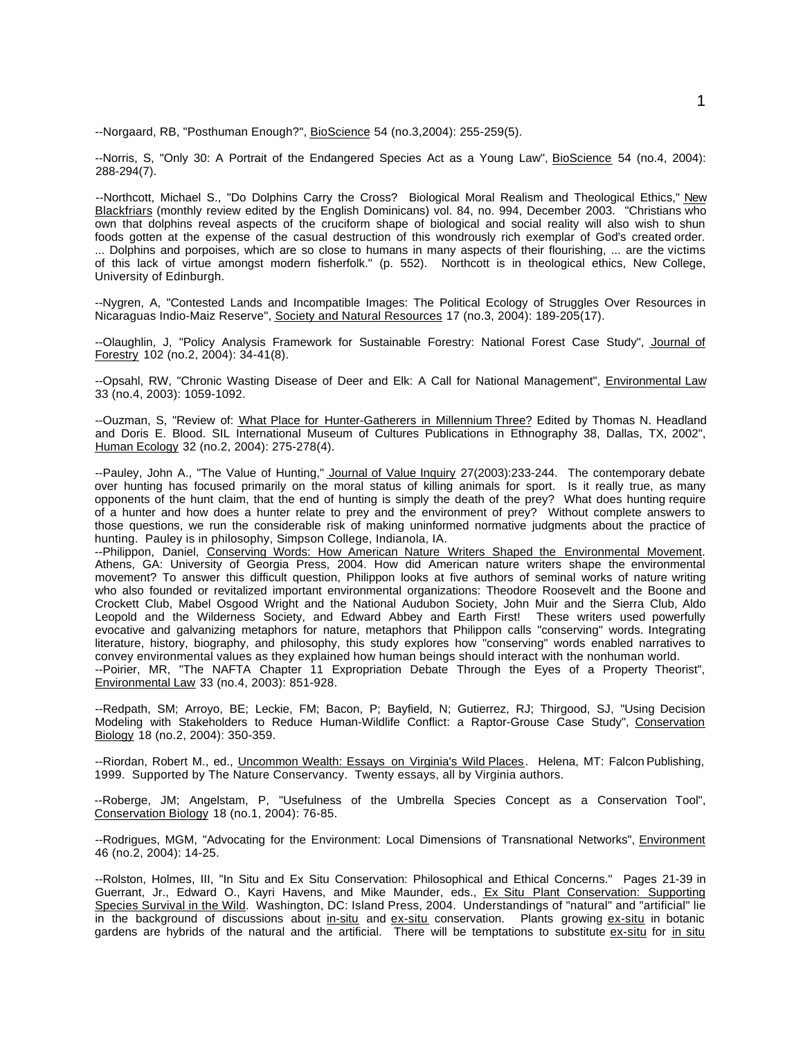--Norgaard, RB, "Posthuman Enough?", BioScience 54 (no.3,2004): 255-259(5).

--Norris, S, "Only 30: A Portrait of the Endangered Species Act as a Young Law", BioScience 54 (no.4, 2004): 288-294(7).

--Northcott, Michael S., "Do Dolphins Carry the Cross? Biological Moral Realism and Theological Ethics," New Blackfriars (monthly review edited by the English Dominicans) vol. 84, no. 994, December 2003. "Christians who own that dolphins reveal aspects of the cruciform shape of biological and social reality will also wish to shun foods gotten at the expense of the casual destruction of this wondrously rich exemplar of God's created order. ... Dolphins and porpoises, which are so close to humans in many aspects of their flourishing, ... are the victims of this lack of virtue amongst modern fisherfolk." (p. 552). Northcott is in theological ethics, New College, University of Edinburgh.

--Nygren, A, "Contested Lands and Incompatible Images: The Political Ecology of Struggles Over Resources in Nicaraguas Indio-Maiz Reserve", Society and Natural Resources 17 (no.3, 2004): 189-205(17).

--Olaughlin, J, "Policy Analysis Framework for Sustainable Forestry: National Forest Case Study", Journal of Forestry 102 (no.2, 2004): 34-41(8).

--Opsahl, RW, "Chronic Wasting Disease of Deer and Elk: A Call for National Management", Environmental Law 33 (no.4, 2003): 1059-1092.

--Ouzman, S, "Review of: What Place for Hunter-Gatherers in Millennium Three? Edited by Thomas N. Headland and Doris E. Blood. SIL International Museum of Cultures Publications in Ethnography 38, Dallas, TX, 2002", Human Ecology 32 (no.2, 2004): 275-278(4).

--Pauley, John A., "The Value of Hunting," Journal of Value Inquiry 27(2003):233-244. The contemporary debate over hunting has focused primarily on the moral status of killing animals for sport. Is it really true, as many opponents of the hunt claim, that the end of hunting is simply the death of the prey? What does hunting require of a hunter and how does a hunter relate to prey and the environment of prey? Without complete answers to those questions, we run the considerable risk of making uninformed normative judgments about the practice of hunting. Pauley is in philosophy, Simpson College, Indianola, IA.

--Philippon, Daniel, Conserving Words: How American Nature Writers Shaped the Environmental Movement. Athens, GA: University of Georgia Press, 2004. How did American nature writers shape the environmental movement? To answer this difficult question, Philippon looks at five authors of seminal works of nature writing who also founded or revitalized important environmental organizations: Theodore Roosevelt and the Boone and Crockett Club, Mabel Osgood Wright and the National Audubon Society, John Muir and the Sierra Club, Aldo Leopold and the Wilderness Society, and Edward Abbey and Earth First! These writers used powerfully evocative and galvanizing metaphors for nature, metaphors that Philippon calls "conserving" words. Integrating literature, history, biography, and philosophy, this study explores how "conserving" words enabled narratives to convey environmental values as they explained how human beings should interact with the nonhuman world. --Poirier, MR, "The NAFTA Chapter 11 Expropriation Debate Through the Eyes of a Property Theorist",

Environmental Law 33 (no.4, 2003): 851-928.

--Redpath, SM; Arroyo, BE; Leckie, FM; Bacon, P; Bayfield, N; Gutierrez, RJ; Thirgood, SJ, "Using Decision Modeling with Stakeholders to Reduce Human-Wildlife Conflict: a Raptor-Grouse Case Study", Conservation Biology 18 (no.2, 2004): 350-359.

--Riordan, Robert M., ed., Uncommon Wealth: Essays on Virginia's Wild Places. Helena, MT: Falcon Publishing, 1999. Supported by The Nature Conservancy. Twenty essays, all by Virginia authors.

--Roberge, JM; Angelstam, P, "Usefulness of the Umbrella Species Concept as a Conservation Tool", Conservation Biology 18 (no.1, 2004): 76-85.

--Rodrigues, MGM, "Advocating for the Environment: Local Dimensions of Transnational Networks", Environment 46 (no.2, 2004): 14-25.

--Rolston, Holmes, III, "In Situ and Ex Situ Conservation: Philosophical and Ethical Concerns." Pages 21-39 in Guerrant, Jr., Edward O., Kayri Havens, and Mike Maunder, eds., Ex Situ Plant Conservation: Supporting Species Survival in the Wild. Washington, DC: Island Press, 2004. Understandings of "natural" and "artificial" lie in the background of discussions about in-situ and ex-situ conservation. Plants growing ex-situ in botanic gardens are hybrids of the natural and the artificial. There will be temptations to substitute ex-situ for in situ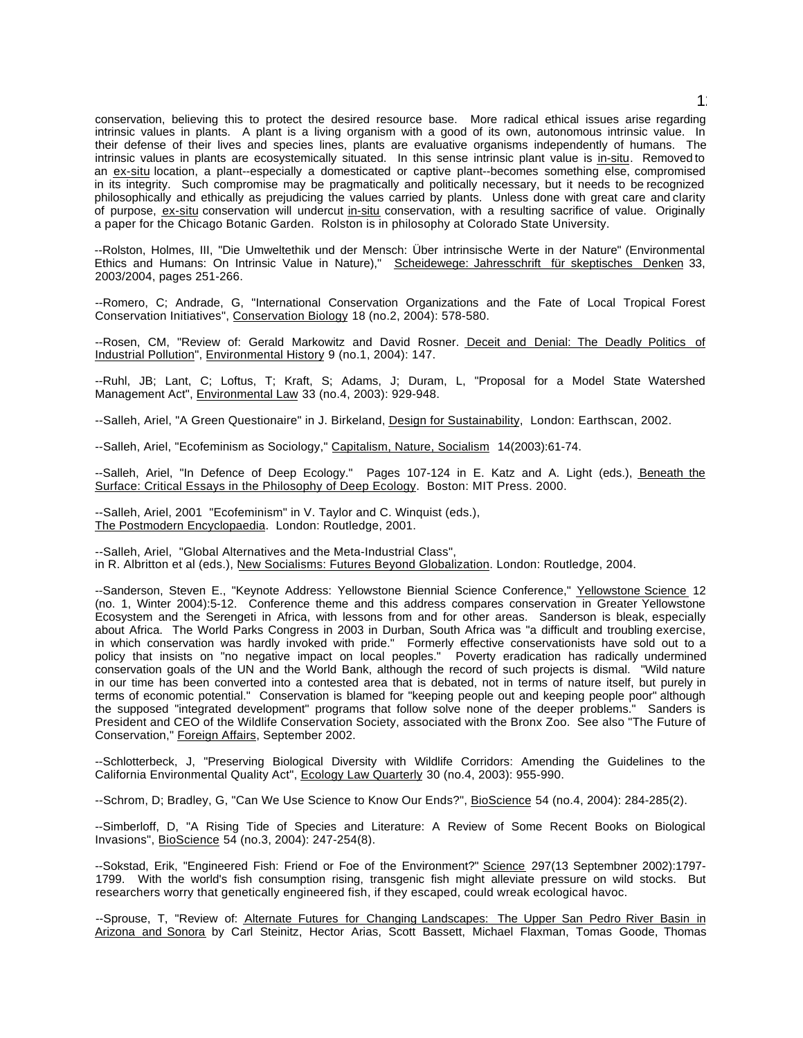conservation, believing this to protect the desired resource base. More radical ethical issues arise regarding intrinsic values in plants. A plant is a living organism with a good of its own, autonomous intrinsic value. In their defense of their lives and species lines, plants are evaluative organisms independently of humans. The intrinsic values in plants are ecosystemically situated. In this sense intrinsic plant value is in-situ. Removed to an ex-situ location, a plant--especially a domesticated or captive plant--becomes something else, compromised in its integrity. Such compromise may be pragmatically and politically necessary, but it needs to be recognized philosophically and ethically as prejudicing the values carried by plants. Unless done with great care and clarity of purpose, ex-situ conservation will undercut in-situ conservation, with a resulting sacrifice of value. Originally a paper for the Chicago Botanic Garden. Rolston is in philosophy at Colorado State University.

--Rolston, Holmes, III, "Die Umweltethik und der Mensch: Über intrinsische Werte in der Nature" (Environmental Ethics and Humans: On Intrinsic Value in Nature)," Scheidewege: Jahresschrift für skeptisches Denken 33, 2003/2004, pages 251-266.

--Romero, C; Andrade, G, "International Conservation Organizations and the Fate of Local Tropical Forest Conservation Initiatives", Conservation Biology 18 (no.2, 2004): 578-580.

--Rosen, CM, "Review of: Gerald Markowitz and David Rosner. Deceit and Denial: The Deadly Politics of Industrial Pollution", Environmental History 9 (no.1, 2004): 147.

--Ruhl, JB; Lant, C; Loftus, T; Kraft, S; Adams, J; Duram, L, "Proposal for a Model State Watershed Management Act", Environmental Law 33 (no.4, 2003): 929-948.

--Salleh, Ariel, "A Green Questionaire" in J. Birkeland, Design for Sustainability, London: Earthscan, 2002.

--Salleh, Ariel, "Ecofeminism as Sociology," Capitalism, Nature, Socialism 14(2003):61-74.

--Salleh, Ariel, "In Defence of Deep Ecology." Pages 107-124 in E. Katz and A. Light (eds.), Beneath the Surface: Critical Essays in the Philosophy of Deep Ecology. Boston: MIT Press. 2000.

--Salleh, Ariel, 2001 "Ecofeminism" in V. Taylor and C. Winquist (eds.), The Postmodern Encyclopaedia. London: Routledge, 2001.

--Salleh, Ariel, "Global Alternatives and the Meta-Industrial Class", in R. Albritton et al (eds.), New Socialisms: Futures Beyond Globalization. London: Routledge, 2004.

--Sanderson, Steven E., "Keynote Address: Yellowstone Biennial Science Conference," Yellowstone Science 12 (no. 1, Winter 2004):5-12. Conference theme and this address compares conservation in Greater Yellowstone Ecosystem and the Serengeti in Africa, with lessons from and for other areas. Sanderson is bleak, especially about Africa. The World Parks Congress in 2003 in Durban, South Africa was "a difficult and troubling exercise, in which conservation was hardly invoked with pride." Formerly effective conservationists have sold out to a policy that insists on "no negative impact on local peoples." Poverty eradication has radically undermined conservation goals of the UN and the World Bank, although the record of such projects is dismal. "Wild nature in our time has been converted into a contested area that is debated, not in terms of nature itself, but purely in terms of economic potential." Conservation is blamed for "keeping people out and keeping people poor" although the supposed "integrated development" programs that follow solve none of the deeper problems." Sanders is President and CEO of the Wildlife Conservation Society, associated with the Bronx Zoo. See also "The Future of Conservation," Foreign Affairs, September 2002.

--Schlotterbeck, J, "Preserving Biological Diversity with Wildlife Corridors: Amending the Guidelines to the California Environmental Quality Act", Ecology Law Quarterly 30 (no.4, 2003): 955-990.

--Schrom, D; Bradley, G, "Can We Use Science to Know Our Ends?", BioScience 54 (no.4, 2004): 284-285(2).

--Simberloff, D, "A Rising Tide of Species and Literature: A Review of Some Recent Books on Biological Invasions", BioScience 54 (no.3, 2004): 247-254(8).

--Sokstad, Erik, "Engineered Fish: Friend or Foe of the Environment?" Science 297(13 Septembner 2002):1797-1799. With the world's fish consumption rising, transgenic fish might alleviate pressure on wild stocks. But researchers worry that genetically engineered fish, if they escaped, could wreak ecological havoc.

--Sprouse, T, "Review of: Alternate Futures for Changing Landscapes: The Upper San Pedro River Basin in Arizona and Sonora by Carl Steinitz, Hector Arias, Scott Bassett, Michael Flaxman, Tomas Goode, Thomas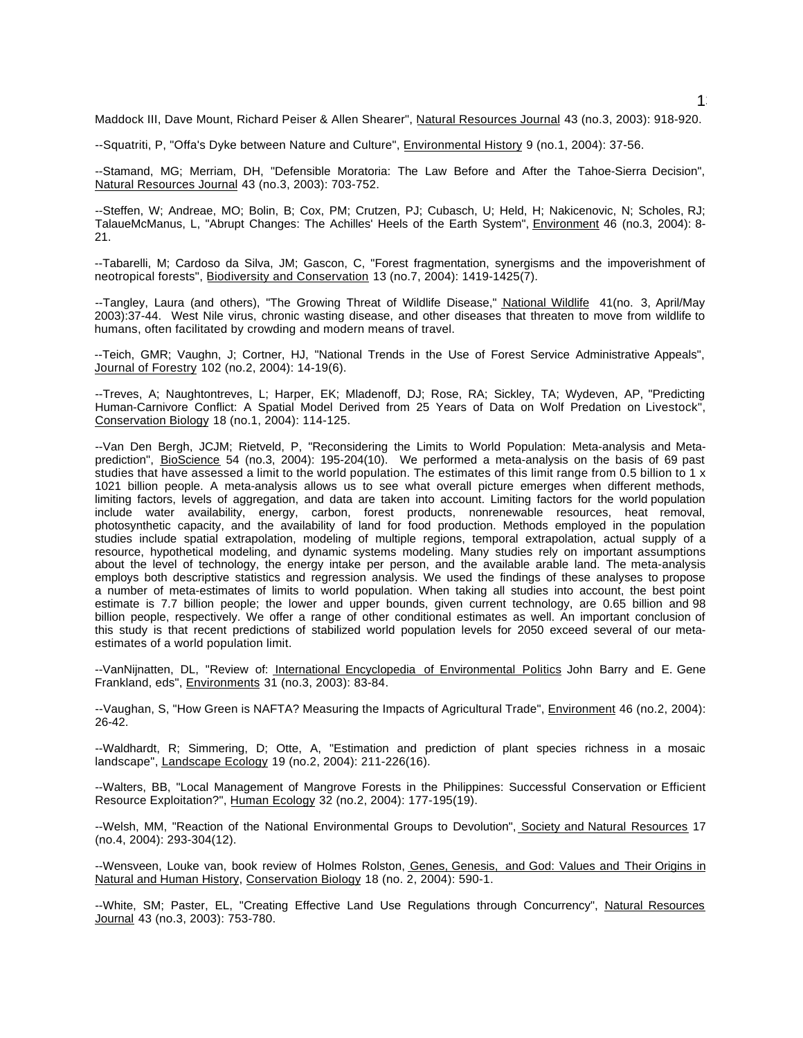Maddock III, Dave Mount, Richard Peiser & Allen Shearer", Natural Resources Journal 43 (no.3, 2003): 918-920.

--Squatriti, P, "Offa's Dyke between Nature and Culture", Environmental History 9 (no.1, 2004): 37-56.

--Stamand, MG; Merriam, DH, "Defensible Moratoria: The Law Before and After the Tahoe-Sierra Decision", Natural Resources Journal 43 (no.3, 2003): 703-752.

--Steffen, W; Andreae, MO; Bolin, B; Cox, PM; Crutzen, PJ; Cubasch, U; Held, H; Nakicenovic, N; Scholes, RJ; TalaueMcManus, L, "Abrupt Changes: The Achilles' Heels of the Earth System", Environment 46 (no.3, 2004): 8- 21.

--Tabarelli, M; Cardoso da Silva, JM; Gascon, C, "Forest fragmentation, synergisms and the impoverishment of neotropical forests", Biodiversity and Conservation 13 (no.7, 2004): 1419-1425(7).

--Tangley, Laura (and others), "The Growing Threat of Wildlife Disease," National Wildlife 41(no. 3, April/May 2003):37-44. West Nile virus, chronic wasting disease, and other diseases that threaten to move from wildlife to humans, often facilitated by crowding and modern means of travel.

--Teich, GMR; Vaughn, J; Cortner, HJ, "National Trends in the Use of Forest Service Administrative Appeals", Journal of Forestry 102 (no.2, 2004): 14-19(6).

--Treves, A; Naughtontreves, L; Harper, EK; Mladenoff, DJ; Rose, RA; Sickley, TA; Wydeven, AP, "Predicting Human-Carnivore Conflict: A Spatial Model Derived from 25 Years of Data on Wolf Predation on Livestock", Conservation Biology 18 (no.1, 2004): 114-125.

--Van Den Bergh, JCJM; Rietveld, P, "Reconsidering the Limits to World Population: Meta-analysis and Metaprediction", BioScience 54 (no.3, 2004): 195-204(10). We performed a meta-analysis on the basis of 69 past studies that have assessed a limit to the world population. The estimates of this limit range from 0.5 billion to 1 x 1021 billion people. A meta-analysis allows us to see what overall picture emerges when different methods, limiting factors, levels of aggregation, and data are taken into account. Limiting factors for the world population include water availability, energy, carbon, forest products, nonrenewable resources, heat removal, photosynthetic capacity, and the availability of land for food production. Methods employed in the population studies include spatial extrapolation, modeling of multiple regions, temporal extrapolation, actual supply of a resource, hypothetical modeling, and dynamic systems modeling. Many studies rely on important assumptions about the level of technology, the energy intake per person, and the available arable land. The meta-analysis employs both descriptive statistics and regression analysis. We used the findings of these analyses to propose a number of meta-estimates of limits to world population. When taking all studies into account, the best point estimate is 7.7 billion people; the lower and upper bounds, given current technology, are 0.65 billion and 98 billion people, respectively. We offer a range of other conditional estimates as well. An important conclusion of this study is that recent predictions of stabilized world population levels for 2050 exceed several of our metaestimates of a world population limit.

--VanNijnatten, DL, "Review of: International Encyclopedia of Environmental Politics John Barry and E. Gene Frankland, eds", Environments 31 (no.3, 2003): 83-84.

--Vaughan, S, "How Green is NAFTA? Measuring the Impacts of Agricultural Trade", Environment 46 (no.2, 2004): 26-42.

--Waldhardt, R; Simmering, D; Otte, A, "Estimation and prediction of plant species richness in a mosaic landscape", Landscape Ecology 19 (no.2, 2004): 211-226(16).

--Walters, BB, "Local Management of Mangrove Forests in the Philippines: Successful Conservation or Efficient Resource Exploitation?", Human Ecology 32 (no.2, 2004): 177-195(19).

--Welsh, MM, "Reaction of the National Environmental Groups to Devolution", Society and Natural Resources 17 (no.4, 2004): 293-304(12).

--Wensveen, Louke van, book review of Holmes Rolston, Genes, Genesis, and God: Values and Their Origins in Natural and Human History, Conservation Biology 18 (no. 2, 2004): 590-1.

--White, SM; Paster, EL, "Creating Effective Land Use Regulations through Concurrency", Natural Resources Journal 43 (no.3, 2003): 753-780.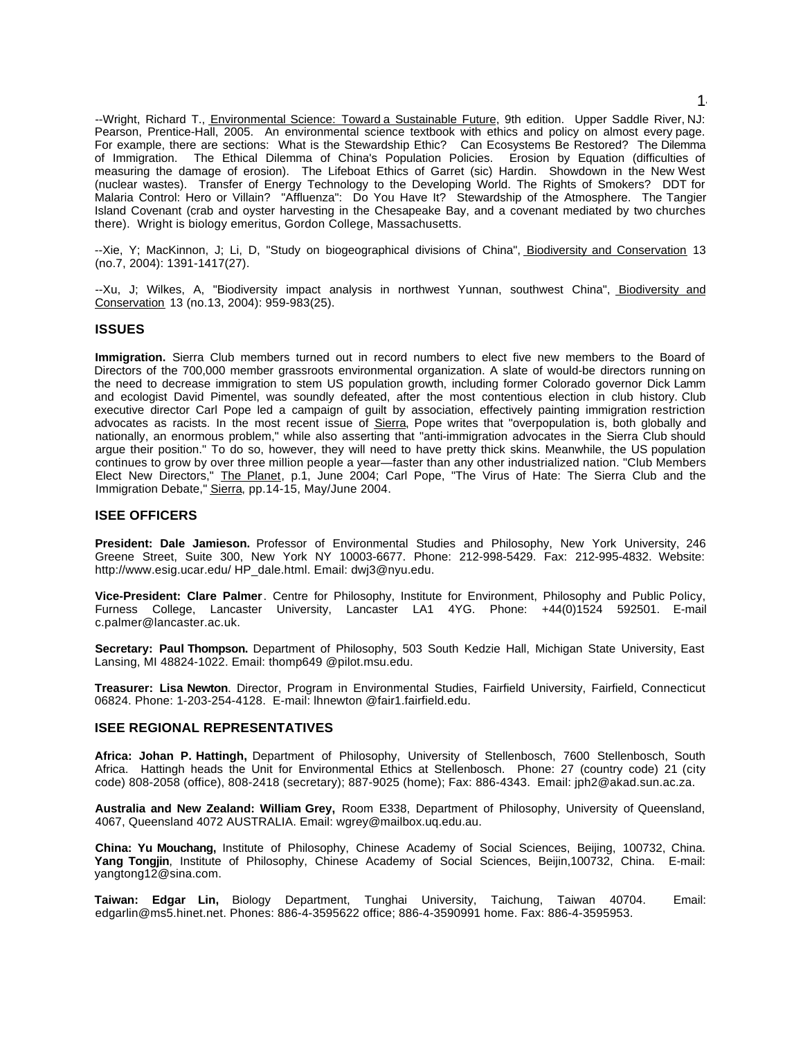--Wright, Richard T., Environmental Science: Toward a Sustainable Future, 9th edition. Upper Saddle River, NJ: Pearson, Prentice-Hall, 2005. An environmental science textbook with ethics and policy on almost every page. For example, there are sections: What is the Stewardship Ethic? Can Ecosystems Be Restored? The Dilemma of Immigration. The Ethical Dilemma of China's Population Policies. Erosion by Equation (difficulties of measuring the damage of erosion). The Lifeboat Ethics of Garret (sic) Hardin. Showdown in the New West (nuclear wastes). Transfer of Energy Technology to the Developing World. The Rights of Smokers? DDT for Malaria Control: Hero or Villain? "Affluenza": Do You Have It? Stewardship of the Atmosphere. The Tangier Island Covenant (crab and oyster harvesting in the Chesapeake Bay, and a covenant mediated by two churches there). Wright is biology emeritus, Gordon College, Massachusetts.

--Xie, Y; MacKinnon, J; Li, D, "Study on biogeographical divisions of China", Biodiversity and Conservation 13 (no.7, 2004): 1391-1417(27).

--Xu, J; Wilkes, A, "Biodiversity impact analysis in northwest Yunnan, southwest China", Biodiversity and Conservation 13 (no.13, 2004): 959-983(25).

#### **ISSUES**

**Immigration.** Sierra Club members turned out in record numbers to elect five new members to the Board of Directors of the 700,000 member grassroots environmental organization. A slate of would-be directors running on the need to decrease immigration to stem US population growth, including former Colorado governor Dick Lamm and ecologist David Pimentel, was soundly defeated, after the most contentious election in club history. Club executive director Carl Pope led a campaign of guilt by association, effectively painting immigration restriction advocates as racists. In the most recent issue of Sierra, Pope writes that "overpopulation is, both globally and nationally, an enormous problem," while also asserting that "anti-immigration advocates in the Sierra Club should argue their position." To do so, however, they will need to have pretty thick skins. Meanwhile, the US population continues to grow by over three million people a year—faster than any other industrialized nation. "Club Members Elect New Directors," The Planet, p.1, June 2004; Carl Pope, "The Virus of Hate: The Sierra Club and the Immigration Debate," Sierra, pp.14-15, May/June 2004.

#### **ISEE OFFICERS**

**President: Dale Jamieson.** Professor of Environmental Studies and Philosophy, New York University, 246 Greene Street, Suite 300, New York NY 10003-6677. Phone: 212-998-5429. Fax: 212-995-4832. Website: http://www.esig.ucar.edu/ HP\_dale.html. Email: dwj3@nyu.edu.

**Vice-President: Clare Palmer**. Centre for Philosophy, Institute for Environment, Philosophy and Public Policy, Furness College, Lancaster University, Lancaster LA1 4YG. Phone: +44(0)1524 592501. E-mail c.palmer@lancaster.ac.uk.

**Secretary: Paul Thompson.** Department of Philosophy, 503 South Kedzie Hall, Michigan State University, East Lansing, MI 48824-1022. Email: thomp649 @pilot.msu.edu.

**Treasurer: Lisa Newton**. Director, Program in Environmental Studies, Fairfield University, Fairfield, Connecticut 06824. Phone: 1-203-254-4128. E-mail: lhnewton @fair1.fairfield.edu.

## **ISEE REGIONAL REPRESENTATIVES**

**Africa: Johan P. Hattingh,** Department of Philosophy, University of Stellenbosch, 7600 Stellenbosch, South Africa. Hattingh heads the Unit for Environmental Ethics at Stellenbosch. Phone: 27 (country code) 21 (city code) 808-2058 (office), 808-2418 (secretary); 887-9025 (home); Fax: 886-4343. Email: jph2@akad.sun.ac.za.

**Australia and New Zealand: William Grey,** Room E338, Department of Philosophy, University of Queensland, 4067, Queensland 4072 AUSTRALIA. Email: wgrey@mailbox.uq.edu.au.

**China: Yu Mouchang,** Institute of Philosophy, Chinese Academy of Social Sciences, Beijing, 100732, China. **Yang Tongjin**, Institute of Philosophy, Chinese Academy of Social Sciences, Beijin,100732, China. E-mail: yangtong12@sina.com.

**Taiwan: Edgar Lin,** Biology Department, Tunghai University, Taichung, Taiwan 40704. Email: edgarlin@ms5.hinet.net. Phones: 886-4-3595622 office; 886-4-3590991 home. Fax: 886-4-3595953.